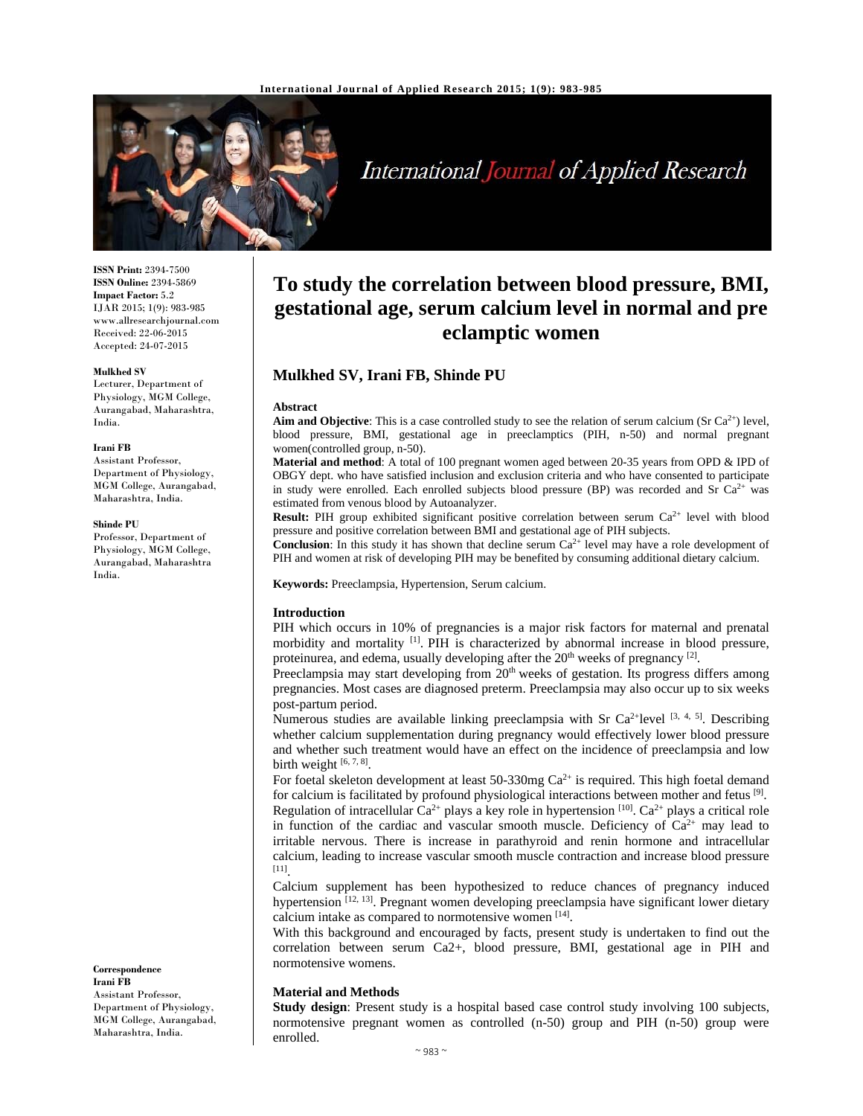

# International Journal of Applied Research

**ISSN Print:** 2394-7500 **ISSN Online:** 2394-5869 **Impact Factor:** 5.2 IJAR 2015; 1(9): 983-985 www.allresearchjournal.com Received: 22-06-2015 Accepted: 24-07-2015

#### **Mulkhed SV**

Lecturer, Department of Physiology, MGM College, Aurangabad, Maharashtra, India.

#### **Irani FB**

Assistant Professor, Department of Physiology, MGM College, Aurangabad, Maharashtra, India.

#### **Shinde PU**

Professor, Department of Physiology, MGM College, Aurangabad, Maharashtra India.

**Correspondence Irani FB** 

Assistant Professor, Department of Physiology, MGM College, Aurangabad, Maharashtra, India.

## **To study the correlation between blood pressure, BMI, gestational age, serum calcium level in normal and pre eclamptic women**

## **Mulkhed SV, Irani FB, Shinde PU**

### **Abstract**

**Aim and Objective**: This is a case controlled study to see the relation of serum calcium (Sr  $Ca^{2+}$ ) level, blood pressure, BMI, gestational age in preeclamptics (PIH, n-50) and normal pregnant women(controlled group, n-50).

**Material and method**: A total of 100 pregnant women aged between 20-35 years from OPD & IPD of OBGY dept. who have satisfied inclusion and exclusion criteria and who have consented to participate in study were enrolled. Each enrolled subjects blood pressure (BP) was recorded and Sr  $Ca<sup>2+</sup>$  was estimated from venous blood by Autoanalyzer.

**Result:** PIH group exhibited significant positive correlation between serum Ca<sup>2+</sup> level with blood pressure and positive correlation between BMI and gestational age of PIH subjects.

**Conclusion:** In this study it has shown that decline serum Ca<sup>2+</sup> level may have a role development of PIH and women at risk of developing PIH may be benefited by consuming additional dietary calcium.

**Keywords:** Preeclampsia, Hypertension, Serum calcium.

#### **Introduction**

PIH which occurs in 10% of pregnancies is a major risk factors for maternal and prenatal morbidity and mortality <sup>[1]</sup>. PIH is characterized by abnormal increase in blood pressure, proteinurea, and edema, usually developing after the  $20<sup>th</sup>$  weeks of pregnancy <sup>[2]</sup>.

Preeclampsia may start developing from 20<sup>th</sup> weeks of gestation. Its progress differs among pregnancies. Most cases are diagnosed preterm. Preeclampsia may also occur up to six weeks post-partum period.

Numerous studies are available linking preeclampsia with Sr Ca<sup>2+</sup>level  $[3, 4, 5]$ . Describing whether calcium supplementation during pregnancy would effectively lower blood pressure and whether such treatment would have an effect on the incidence of preeclampsia and low birth weight [6, 7, 8].

For foetal skeleton development at least 50-330mg  $Ca^{2+}$  is required. This high foetal demand for calcium is facilitated by profound physiological interactions between mother and fetus  $[9]$ . Regulation of intracellular  $Ca^{2+}$  plays a key role in hypertension [10].  $Ca^{2+}$  plays a critical role in function of the cardiac and vascular smooth muscle. Deficiency of  $Ca^{2+}$  may lead to irritable nervous. There is increase in parathyroid and renin hormone and intracellular

calcium, leading to increase vascular smooth muscle contraction and increase blood pressure [11].

Calcium supplement has been hypothesized to reduce chances of pregnancy induced hypertension  $[12, 13]$ . Pregnant women developing preeclampsia have significant lower dietary calcium intake as compared to normotensive women [14].

With this background and encouraged by facts, present study is undertaken to find out the correlation between serum Ca2+, blood pressure, BMI, gestational age in PIH and normotensive womens.

#### **Material and Methods**

**Study design**: Present study is a hospital based case control study involving 100 subjects, normotensive pregnant women as controlled (n-50) group and PIH (n-50) group were enrolled.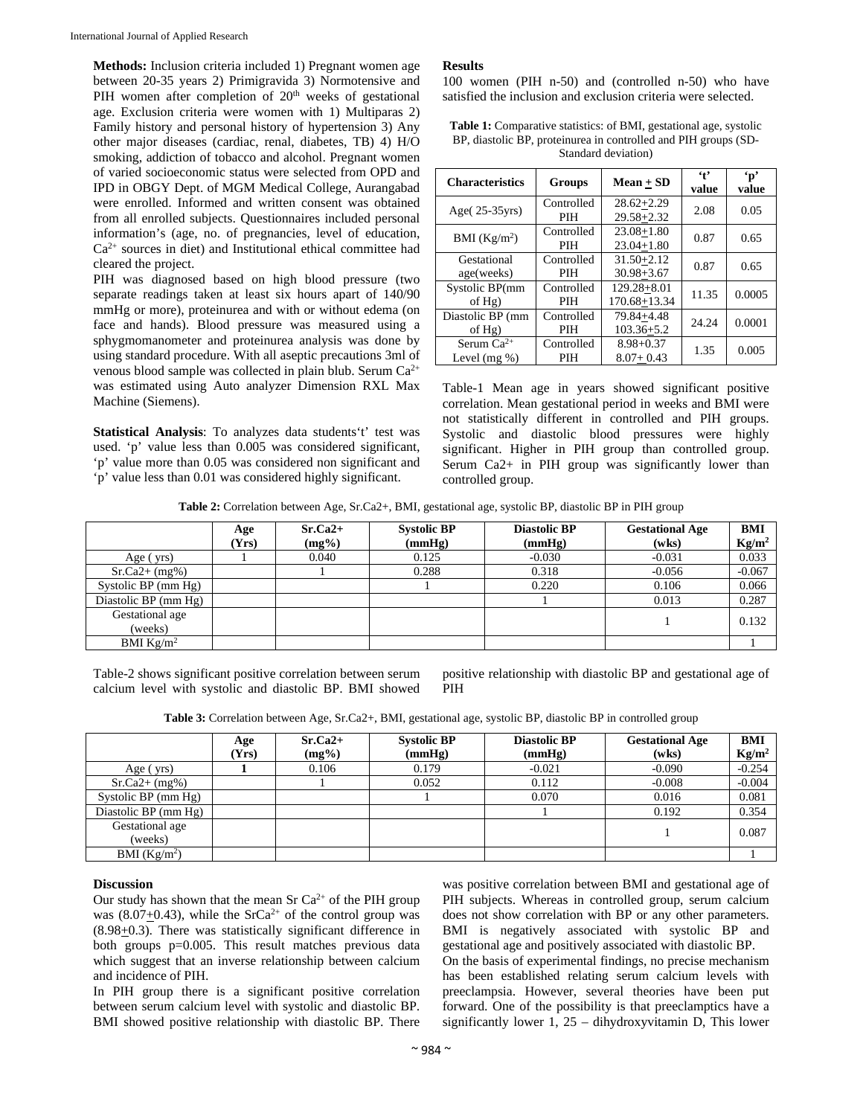**Methods:** Inclusion criteria included 1) Pregnant women age between 20-35 years 2) Primigravida 3) Normotensive and PIH women after completion of  $20<sup>th</sup>$  weeks of gestational age. Exclusion criteria were women with 1) Multiparas 2) Family history and personal history of hypertension 3) Any other major diseases (cardiac, renal, diabetes, TB) 4) H/O smoking, addiction of tobacco and alcohol. Pregnant women of varied socioeconomic status were selected from OPD and IPD in OBGY Dept. of MGM Medical College, Aurangabad were enrolled. Informed and written consent was obtained from all enrolled subjects. Questionnaires included personal information's (age, no. of pregnancies, level of education, Ca2+ sources in diet) and Institutional ethical committee had cleared the project.

PIH was diagnosed based on high blood pressure (two separate readings taken at least six hours apart of 140/90 mmHg or more), proteinurea and with or without edema (on face and hands). Blood pressure was measured using a sphygmomanometer and proteinurea analysis was done by using standard procedure. With all aseptic precautions 3ml of venous blood sample was collected in plain blub. Serum  $Ca^{2+}$ was estimated using Auto analyzer Dimension RXL Max Machine (Siemens).

**Statistical Analysis**: To analyzes data students't' test was used. 'p' value less than 0.005 was considered significant, 'p' value more than 0.05 was considered non significant and 'p' value less than 0.01 was considered highly significant.

## **Results**

100 women (PIH n-50) and (controlled n-50) who have satisfied the inclusion and exclusion criteria were selected.

| <b>Table 1:</b> Comparative statistics: of BMI, gestational age, systolic |
|---------------------------------------------------------------------------|
| BP, diastolic BP, proteinurea in controlled and PIH groups (SD-           |
| Standard deviation)                                                       |

| <b>Characteristics</b> | <b>Groups</b> | $Mean + SD$           | 4 <sup>2</sup><br>value | $\mathbf{p}$<br>value |  |
|------------------------|---------------|-----------------------|-------------------------|-----------------------|--|
| Age $(25-35yrs)$       | Controlled    | $28.62 + 2.29$        | 2.08                    | 0.05                  |  |
|                        | <b>PIH</b>    | $29.58 + 2.32$        |                         |                       |  |
| BMI $(Kg/m2)$          | Controlled    | $23.08 + 1.80$        | 0.87                    | 0.65                  |  |
|                        | <b>PIH</b>    | $23.04 + 1.80$        |                         |                       |  |
| Gestational            | Controlled    | $31.50 + 2.12$        | 0.87                    | 0.65                  |  |
| age(weeks)             | PIH           | $30.98 + 3.67$        |                         |                       |  |
| Systolic BP(mm         | Controlled    | $129.28 + 8.01$       | 11.35                   | 0.0005                |  |
| of $Hg$ )              | PIH           | 170.68+13.34          |                         |                       |  |
| Diastolic BP (mm)      | Controlled    | 79.84+4.48            | 24.24                   | 0.0001                |  |
| of Hg)                 | <b>PIH</b>    | $103.36 + 5.2$        |                         |                       |  |
| Serum $Ca^{2+}$        | Controlled    | $8.98 + 0.37$<br>1.35 |                         | 0.005                 |  |
| Level $(mg %)$         | <b>PIH</b>    | $8.07 + 0.43$         |                         |                       |  |

Table-1 Mean age in years showed significant positive correlation. Mean gestational period in weeks and BMI were not statistically different in controlled and PIH groups. Systolic and diastolic blood pressures were highly significant. Higher in PIH group than controlled group. Serum Ca2+ in PIH group was significantly lower than controlled group.

**Table 2:** Correlation between Age, Sr.Ca2+, BMI, gestational age, systolic BP, diastolic BP in PIH group

|                            | Age<br>(Yrs) | $Sr.Ca2+$<br>$(mg\%)$ | <b>Systolic BP</b><br>(mmHg) | <b>Diastolic BP</b><br>(mmHg) | <b>Gestational Age</b><br>(wks) | <b>BMI</b><br>Kg/m <sup>2</sup> |
|----------------------------|--------------|-----------------------|------------------------------|-------------------------------|---------------------------------|---------------------------------|
| Age (yrs)                  |              | 0.040                 | 0.125                        | $-0.030$                      | $-0.031$                        | 0.033                           |
| $Sr.Ca2+ (mg%)$            |              |                       | 0.288                        | 0.318                         | $-0.056$                        | $-0.067$                        |
| Systolic BP (mm Hg)        |              |                       |                              | 0.220                         | 0.106                           | 0.066                           |
| Diastolic BP (mm Hg)       |              |                       |                              |                               | 0.013                           | 0.287                           |
| Gestational age<br>(weeks) |              |                       |                              |                               |                                 | 0.132                           |
| BMI $Kg/m^2$               |              |                       |                              |                               |                                 |                                 |

Table-2 shows significant positive correlation between serum calcium level with systolic and diastolic BP. BMI showed

positive relationship with diastolic BP and gestational age of PIH

**Table 3:** Correlation between Age, Sr.Ca2+, BMI, gestational age, systolic BP, diastolic BP in controlled group

|                            | Age<br>(Yrs) | $Sr.Ca2+$<br>$(mg\%)$ | <b>Systolic BP</b><br>(mmHg) | <b>Diastolic BP</b><br>(mmHg) | <b>Gestational Age</b><br>(wks) | <b>BMI</b><br>Kg/m <sup>2</sup> |
|----------------------------|--------------|-----------------------|------------------------------|-------------------------------|---------------------------------|---------------------------------|
| Age (yrs)                  |              | 0.106                 | 0.179                        | $-0.021$                      | $-0.090$                        | $-0.254$                        |
| $Sr.Ca2+ (mg%)$            |              |                       | 0.052                        | 0.112                         | $-0.008$                        | $-0.004$                        |
| Systolic BP (mm Hg)        |              |                       |                              | 0.070                         | 0.016                           | 0.081                           |
| Diastolic BP (mm Hg)       |              |                       |                              |                               | 0.192                           | 0.354                           |
| Gestational age<br>(weeks) |              |                       |                              |                               |                                 | 0.087                           |
| BMI $(Kg/m^2)$             |              |                       |                              |                               |                                 |                                 |

## **Discussion**

Our study has shown that the mean Sr  $Ca^{2+}$  of the PIH group was (8.07 $\pm$ 0.43), while the SrCa<sup>2+</sup> of the control group was  $(8.98<sub>±</sub>0.3)$ . There was statistically significant difference in both groups p=0.005. This result matches previous data which suggest that an inverse relationship between calcium and incidence of PIH.

In PIH group there is a significant positive correlation between serum calcium level with systolic and diastolic BP. BMI showed positive relationship with diastolic BP. There

was positive correlation between BMI and gestational age of PIH subjects. Whereas in controlled group, serum calcium does not show correlation with BP or any other parameters. BMI is negatively associated with systolic BP and gestational age and positively associated with diastolic BP. On the basis of experimental findings, no precise mechanism has been established relating serum calcium levels with preeclampsia. However, several theories have been put forward. One of the possibility is that preeclamptics have a significantly lower 1, 25 – dihydroxyvitamin D, This lower